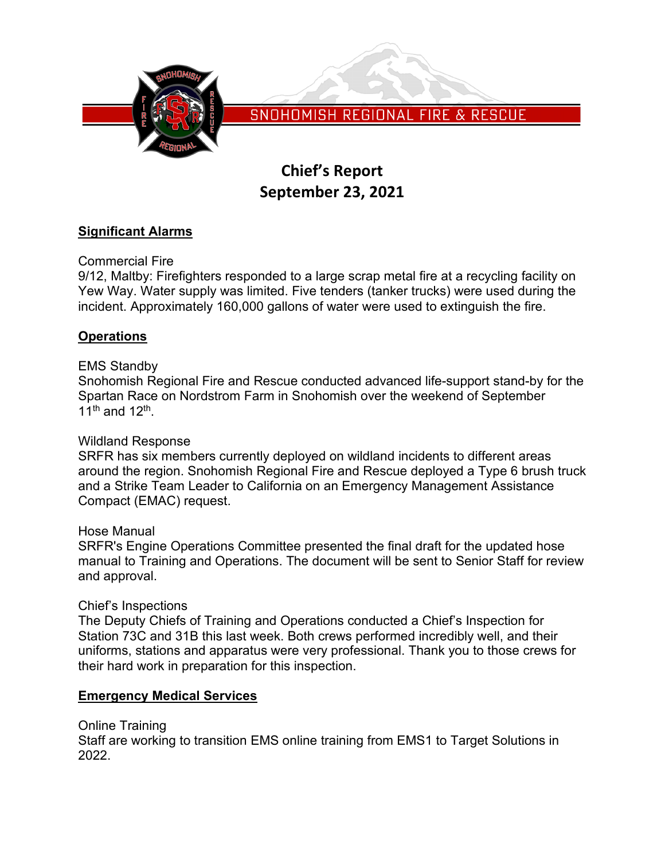

SNOHOMISH REGIONAL FIRE & RESCUE

# **Chief's Report September 23, 2021**

# **Significant Alarms**

Commercial Fire

9/12, Maltby: Firefighters responded to a large scrap metal fire at a recycling facility on Yew Way. Water supply was limited. Five tenders (tanker trucks) were used during the incident. Approximately 160,000 gallons of water were used to extinguish the fire.

# **Operations**

# EMS Standby

Snohomish Regional Fire and Rescue conducted advanced life-support stand-by for the Spartan Race on Nordstrom Farm in Snohomish over the weekend of September 11<sup>th</sup> and 12<sup>th</sup>

# Wildland Response

SRFR has six members currently deployed on wildland incidents to different areas around the region. Snohomish Regional Fire and Rescue deployed a Type 6 brush truck and a Strike Team Leader to California on an Emergency Management Assistance Compact (EMAC) request.

## Hose Manual

SRFR's Engine Operations Committee presented the final draft for the updated hose manual to Training and Operations. The document will be sent to Senior Staff for review and approval.

## Chief's Inspections

The Deputy Chiefs of Training and Operations conducted a Chief's Inspection for Station 73C and 31B this last week. Both crews performed incredibly well, and their uniforms, stations and apparatus were very professional. Thank you to those crews for their hard work in preparation for this inspection.

## **Emergency Medical Services**

Online Training

Staff are working to transition EMS online training from EMS1 to Target Solutions in 2022.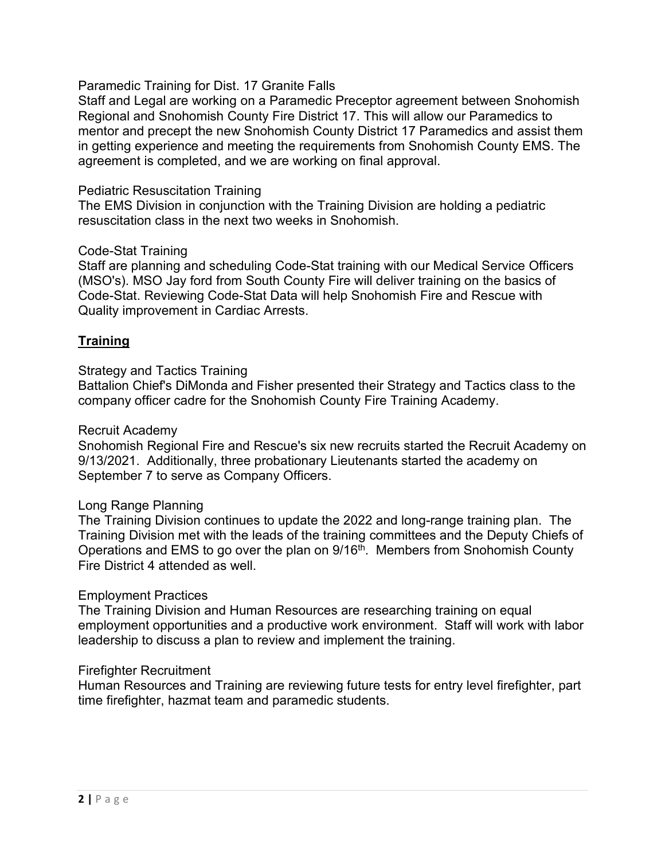Paramedic Training for Dist. 17 Granite Falls

Staff and Legal are working on a Paramedic Preceptor agreement between Snohomish Regional and Snohomish County Fire District 17. This will allow our Paramedics to mentor and precept the new Snohomish County District 17 Paramedics and assist them in getting experience and meeting the requirements from Snohomish County EMS. The agreement is completed, and we are working on final approval.

## Pediatric Resuscitation Training

The EMS Division in conjunction with the Training Division are holding a pediatric resuscitation class in the next two weeks in Snohomish.

## Code-Stat Training

Staff are planning and scheduling Code-Stat training with our Medical Service Officers (MSO's). MSO Jay ford from South County Fire will deliver training on the basics of Code-Stat. Reviewing Code-Stat Data will help Snohomish Fire and Rescue with Quality improvement in Cardiac Arrests.

## **Training**

## Strategy and Tactics Training

Battalion Chief's DiMonda and Fisher presented their Strategy and Tactics class to the company officer cadre for the Snohomish County Fire Training Academy.

#### Recruit Academy

Snohomish Regional Fire and Rescue's six new recruits started the Recruit Academy on 9/13/2021. Additionally, three probationary Lieutenants started the academy on September 7 to serve as Company Officers.

#### Long Range Planning

The Training Division continues to update the 2022 and long-range training plan. The Training Division met with the leads of the training committees and the Deputy Chiefs of Operations and EMS to go over the plan on  $9/16<sup>th</sup>$ . Members from Snohomish County Fire District 4 attended as well.

#### Employment Practices

The Training Division and Human Resources are researching training on equal employment opportunities and a productive work environment. Staff will work with labor leadership to discuss a plan to review and implement the training.

#### Firefighter Recruitment

Human Resources and Training are reviewing future tests for entry level firefighter, part time firefighter, hazmat team and paramedic students.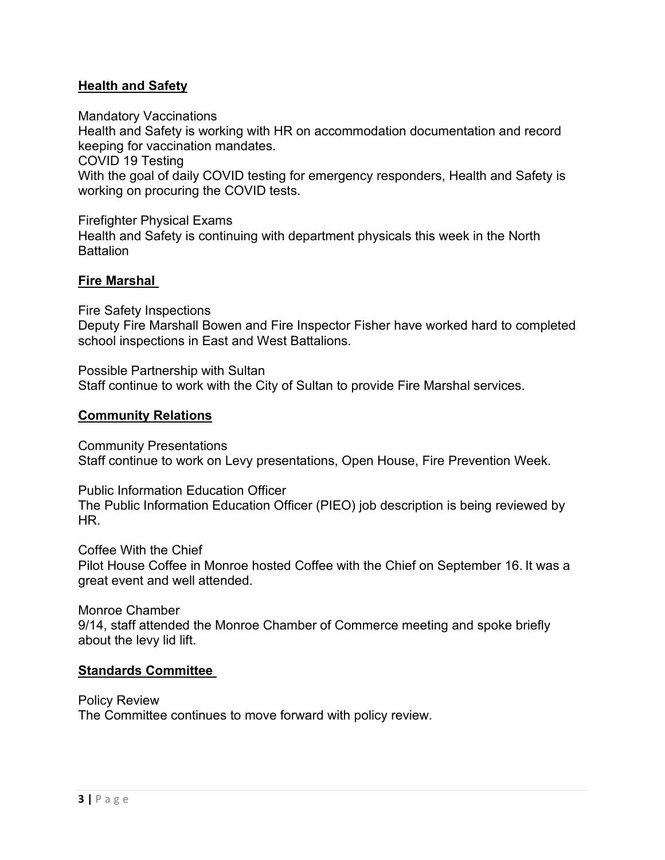# **Health and Safety**

Mandatory Vaccinations

Health and Safety is working with HR on accommodation documentation and record keeping for vaccination mandates.

COVID 19 Testing

With the goal of daily COVID testing for emergency responders, Health and Safety is working on procuring the COVID tests.

Firefighter Physical Exams Health and Safety is continuing with department physicals this week in the North **Battalion** 

# **Fire Marshal**

Fire Safety Inspections Deputy Fire Marshall Bowen and Fire Inspector Fisher have worked hard to completed school inspections in East and West Battalions.

Possible Partnership with Sultan Staff continue to work with the City of Sultan to provide Fire Marshal services.

## **Community Relations**

Community Presentations Staff continue to work on Levy presentations, Open House, Fire Prevention Week.

Public Information Education Officer The Public Information Education Officer (PIEO) job description is being reviewed by HR.

Coffee With the Chief Pilot House Coffee in Monroe hosted Coffee with the Chief on September 16. It was a great event and well attended.

Monroe Chamber 9/14, staff attended the Monroe Chamber of Commerce meeting and spoke briefly about the levy lid lift.

## **Standards Committee**

Policy Review The Committee continues to move forward with policy review.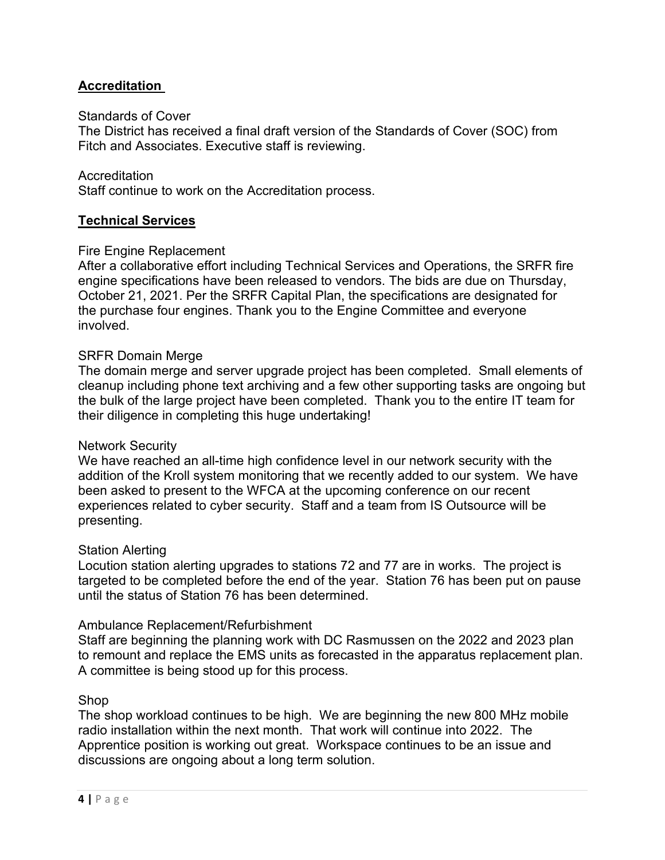# **Accreditation**

## Standards of Cover

The District has received a final draft version of the Standards of Cover (SOC) from Fitch and Associates. Executive staff is reviewing.

#### Accreditation

Staff continue to work on the Accreditation process.

## **Technical Services**

#### Fire Engine Replacement

After a collaborative effort including Technical Services and Operations, the SRFR fire engine specifications have been released to vendors. The bids are due on Thursday, October 21, 2021. Per the SRFR Capital Plan, the specifications are designated for the purchase four engines. Thank you to the Engine Committee and everyone involved.

#### SRFR Domain Merge

The domain merge and server upgrade project has been completed. Small elements of cleanup including phone text archiving and a few other supporting tasks are ongoing but the bulk of the large project have been completed. Thank you to the entire IT team for their diligence in completing this huge undertaking!

#### Network Security

We have reached an all-time high confidence level in our network security with the addition of the Kroll system monitoring that we recently added to our system. We have been asked to present to the WFCA at the upcoming conference on our recent experiences related to cyber security. Staff and a team from IS Outsource will be presenting.

#### Station Alerting

Locution station alerting upgrades to stations 72 and 77 are in works. The project is targeted to be completed before the end of the year. Station 76 has been put on pause until the status of Station 76 has been determined.

#### Ambulance Replacement/Refurbishment

Staff are beginning the planning work with DC Rasmussen on the 2022 and 2023 plan to remount and replace the EMS units as forecasted in the apparatus replacement plan. A committee is being stood up for this process.

## Shop

The shop workload continues to be high. We are beginning the new 800 MHz mobile radio installation within the next month. That work will continue into 2022. The Apprentice position is working out great. Workspace continues to be an issue and discussions are ongoing about a long term solution.